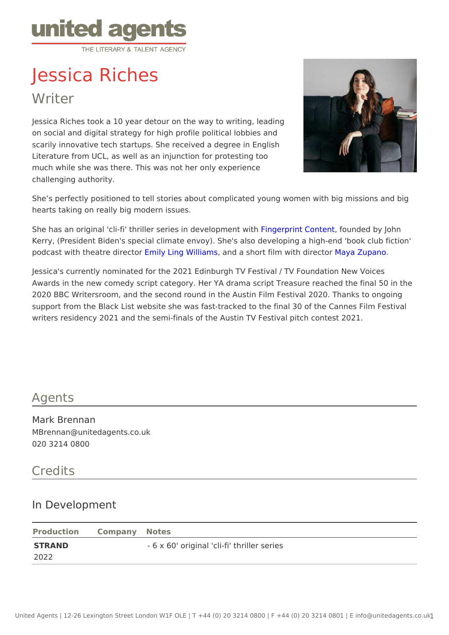## Jessica Riches

Writer

Jessica Riches took a 10 year detour on the way to writing, leading on social and digital strategy for high profile political lobbies and scarily innovative tech startups. She received a degree in English Literature from UCL, as well as an injunction for protesting too much while she was there. This was not her only experience challenging authority.

She s perfectly positioned to tell stories about complicated young women wit hearts taking on really big modern issues.

She has an original 'cli-fi' thriller series imFidageeporpment eCantent and ded by John Kerry, (President Biden's special climate envoy). She's also developing a hig podcast with theatre **Emineut Ling Williams** a short film with Modiy **a** chapano

Jessica's currently nominated for the 2021 Edinburgh TV Festival / TV Found Awards in the new comedy script category. Her YA drama script Treasure rea 2020 BBC Writersroom, and the second round in the Austin Film Festival 2020 support from the Black List website she was fast-tracked to the final 30 of th writers residency 2021 and the semi-finals of the Austin TV Festival pitch co

## Agents

Mark Brennan MBrennan@unitedagents.co.uk 020 3214 0800

## Credits

## In Development

|        | Production Company Notes                    |  |
|--------|---------------------------------------------|--|
| STRAND | - 6 x 60' original 'cli-fi' thriller series |  |
| 2022   |                                             |  |